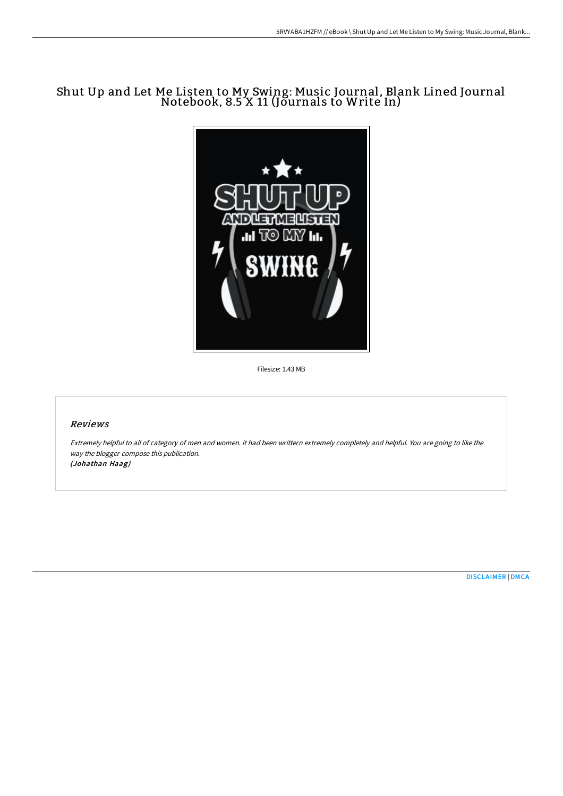# Shut Up and Let Me Listen to My Swing: Music Journal, Blank Lined Journal Notebook, 8.5 X 11 (Journals to Write In)



Filesize: 1.43 MB

#### Reviews

Extremely helpful to all of category of men and women. it had been writtern extremely completely and helpful. You are going to like the way the blogger compose this publication. (Johathan Haag)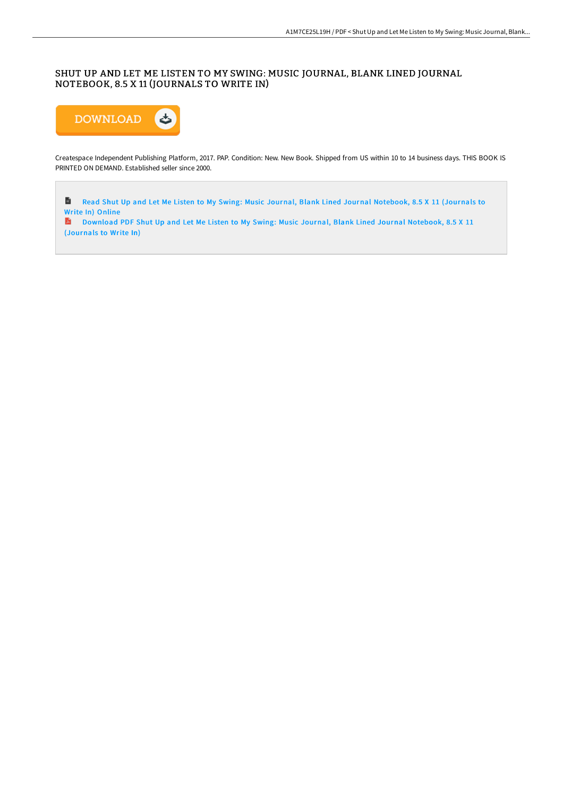## SHUT UP AND LET ME LISTEN TO MY SWING: MUSIC JOURNAL, BLANK LINED JOURNAL NOTEBOOK, 8.5 X 11 (JOURNALS TO WRITE IN)



Createspace Independent Publishing Platform, 2017. PAP. Condition: New. New Book. Shipped from US within 10 to 14 business days. THIS BOOK IS PRINTED ON DEMAND. Established seller since 2000.

 $\blacksquare$ Read Shut Up and Let Me Listen to My Swing: Music Journal, Blank Lined Journal [Notebook,](http://techno-pub.tech/shut-up-and-let-me-listen-to-my-swing-music-jour-1.html) 8.5 X 11 (Journals to Write In) Online

Download PDF Shut Up and Let Me Listen to My Swing: Music Journal, Blank Lined Journal [Notebook,](http://techno-pub.tech/shut-up-and-let-me-listen-to-my-swing-music-jour-1.html) 8.5 X 11 (Journals to Write In)